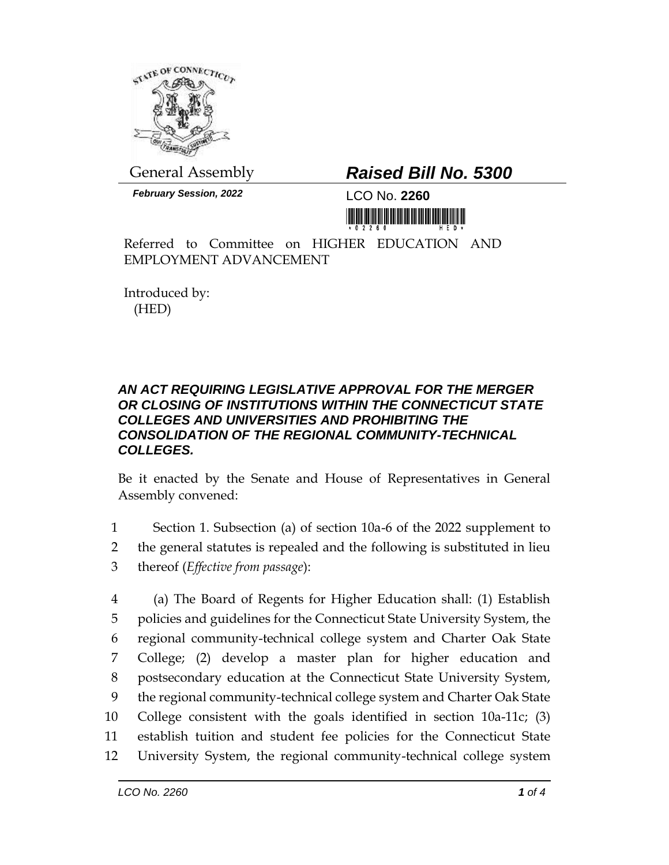

General Assembly *Raised Bill No. 5300*

*February Session, 2022* LCO No. **2260**

<u> 1999 - Andrew Maria Maria Maria Maria Maria Maria Maria Maria Maria Maria Maria Maria Maria Maria Maria Mari</u>

Referred to Committee on HIGHER EDUCATION AND EMPLOYMENT ADVANCEMENT

Introduced by: (HED)

## *AN ACT REQUIRING LEGISLATIVE APPROVAL FOR THE MERGER OR CLOSING OF INSTITUTIONS WITHIN THE CONNECTICUT STATE COLLEGES AND UNIVERSITIES AND PROHIBITING THE CONSOLIDATION OF THE REGIONAL COMMUNITY-TECHNICAL COLLEGES.*

Be it enacted by the Senate and House of Representatives in General Assembly convened:

1 Section 1. Subsection (a) of section 10a-6 of the 2022 supplement to 2 the general statutes is repealed and the following is substituted in lieu

3 thereof (*Effective from passage*):

 (a) The Board of Regents for Higher Education shall: (1) Establish policies and guidelines for the Connecticut State University System, the regional community-technical college system and Charter Oak State College; (2) develop a master plan for higher education and postsecondary education at the Connecticut State University System, the regional community-technical college system and Charter Oak State College consistent with the goals identified in section 10a-11c; (3) establish tuition and student fee policies for the Connecticut State University System, the regional community-technical college system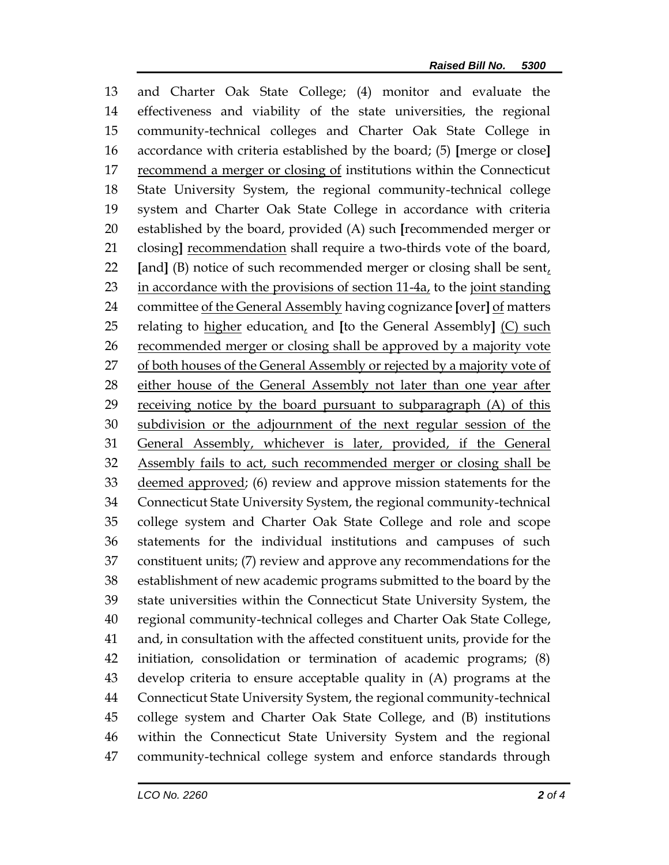and Charter Oak State College; (4) monitor and evaluate the effectiveness and viability of the state universities, the regional community-technical colleges and Charter Oak State College in accordance with criteria established by the board; (5) **[**merge or close**]** recommend a merger or closing of institutions within the Connecticut State University System, the regional community-technical college system and Charter Oak State College in accordance with criteria established by the board, provided (A) such **[**recommended merger or closing**]** recommendation shall require a two-thirds vote of the board, **[**and**]** (B) notice of such recommended merger or closing shall be sent, 23 in accordance with the provisions of section 11-4a, to the joint standing committee of the General Assembly having cognizance **[**over**]** of matters relating to higher education, and **[**to the General Assembly**]** (C) such 26 recommended merger or closing shall be approved by a majority vote 27 of both houses of the General Assembly or rejected by a majority vote of 28 either house of the General Assembly not later than one year after receiving notice by the board pursuant to subparagraph (A) of this subdivision or the adjournment of the next regular session of the General Assembly, whichever is later, provided, if the General Assembly fails to act, such recommended merger or closing shall be 33 deemed approved; (6) review and approve mission statements for the Connecticut State University System, the regional community-technical college system and Charter Oak State College and role and scope statements for the individual institutions and campuses of such constituent units; (7) review and approve any recommendations for the establishment of new academic programs submitted to the board by the state universities within the Connecticut State University System, the regional community-technical colleges and Charter Oak State College, and, in consultation with the affected constituent units, provide for the initiation, consolidation or termination of academic programs; (8) develop criteria to ensure acceptable quality in (A) programs at the Connecticut State University System, the regional community-technical college system and Charter Oak State College, and (B) institutions within the Connecticut State University System and the regional community-technical college system and enforce standards through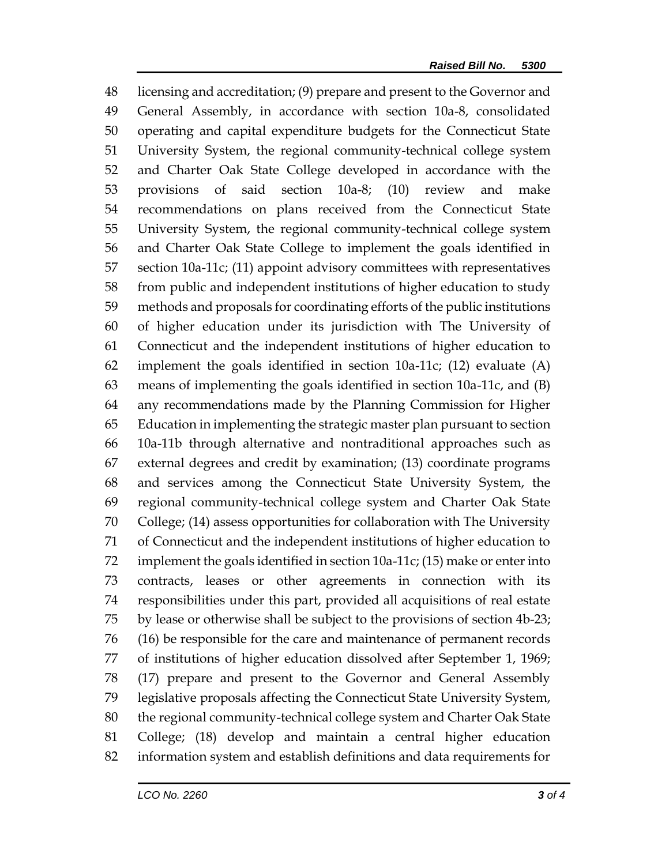licensing and accreditation; (9) prepare and present to the Governor and General Assembly, in accordance with section 10a-8, consolidated operating and capital expenditure budgets for the Connecticut State University System, the regional community-technical college system and Charter Oak State College developed in accordance with the provisions of said section 10a-8; (10) review and make recommendations on plans received from the Connecticut State University System, the regional community-technical college system and Charter Oak State College to implement the goals identified in section 10a-11c; (11) appoint advisory committees with representatives from public and independent institutions of higher education to study methods and proposals for coordinating efforts of the public institutions of higher education under its jurisdiction with The University of Connecticut and the independent institutions of higher education to implement the goals identified in section 10a-11c; (12) evaluate (A) means of implementing the goals identified in section 10a-11c, and (B) any recommendations made by the Planning Commission for Higher Education in implementing the strategic master plan pursuant to section 10a-11b through alternative and nontraditional approaches such as external degrees and credit by examination; (13) coordinate programs and services among the Connecticut State University System, the regional community-technical college system and Charter Oak State College; (14) assess opportunities for collaboration with The University of Connecticut and the independent institutions of higher education to implement the goals identified in section 10a-11c; (15) make or enter into contracts, leases or other agreements in connection with its responsibilities under this part, provided all acquisitions of real estate by lease or otherwise shall be subject to the provisions of section 4b-23; (16) be responsible for the care and maintenance of permanent records of institutions of higher education dissolved after September 1, 1969; (17) prepare and present to the Governor and General Assembly legislative proposals affecting the Connecticut State University System, the regional community-technical college system and Charter Oak State College; (18) develop and maintain a central higher education information system and establish definitions and data requirements for